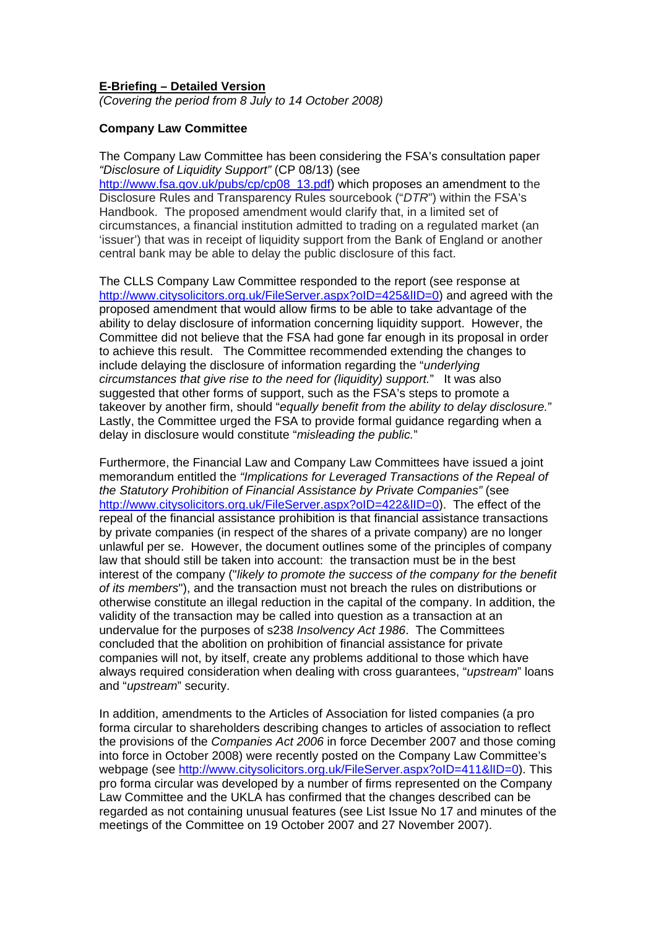#### **E-Briefing – Detailed Version**

*(Covering the period from 8 July to 14 October 2008)* 

# **Company Law Committee**

The Company Law Committee has been considering the FSA's consultation paper *"Disclosure of Liquidity Support"* (CP 08/13) (see

[http://www.fsa.gov.uk/pubs/cp/cp08\\_13.pdf\)](http://www.fsa.gov.uk/pubs/cp/cp08_13.pdf) which proposes an amendment to the Disclosure Rules and Transparency Rules sourcebook ("*DTR*") within the FSA's Handbook. The proposed amendment would clarify that, in a limited set of circumstances, a financial institution admitted to trading on a regulated market (an 'issuer') that was in receipt of liquidity support from the Bank of England or another central bank may be able to delay the public disclosure of this fact.

The CLLS Company Law Committee responded to the report (see response at http://www.citysolicitors.org.uk/FileServer.aspx?oID=425&lID=0) and agreed with the proposed amendment that would allow firms to be able to take advantage of the ability to delay disclosure of information concerning liquidity support. However, the Committee did not believe that the FSA had gone far enough in its proposal in order to achieve this result. The Committee recommended extending the changes to include delaying the disclosure of information regarding the "*underlying circumstances that give rise to the need for (liquidity) support.*" It was also suggested that other forms of support, such as the FSA's steps to promote a takeover by another firm, should "*equally benefit from the ability to delay disclosure.*" Lastly, the Committee urged the FSA to provide formal guidance regarding when a delay in disclosure would constitute "*misleading the public.*"

Furthermore, the Financial Law and Company Law Committees have issued a joint memorandum entitled the *"Implications for Leveraged Transactions of the Repeal of the Statutory Prohibition of Financial Assistance by Private Companies"* (see http://www.citysolicitors.org.uk/FileServer.aspx?oID=422&lID=0). The effect of the repeal of the financial assistance prohibition is that financial assistance transactions by private companies (in respect of the shares of a private company) are no longer unlawful per se. However, the document outlines some of the principles of company law that should still be taken into account: the transaction must be in the best interest of the company ("*likely to promote the success of the company for the benefit of its members*"), and the transaction must not breach the rules on distributions or otherwise constitute an illegal reduction in the capital of the company. In addition, the validity of the transaction may be called into question as a transaction at an undervalue for the purposes of s238 *Insolvency Act 1986*. The Committees concluded that the abolition on prohibition of financial assistance for private companies will not, by itself, create any problems additional to those which have always required consideration when dealing with cross guarantees, "*upstream*" loans and "*upstream*" security.

In addition, amendments to the Articles of Association for listed companies (a pro forma circular to shareholders describing changes to articles of association to reflect the provisions of the *Companies Act 2006* in force December 2007 and those coming into force in October 2008) were recently posted on the Company Law Committee's webpage (see http://www.citysolicitors.org.uk/FileServer.aspx?oID=411&IID=0). This pro forma circular was developed by a number of firms represented on the Company Law Committee and the UKLA has confirmed that the changes described can be regarded as not containing unusual features (see List Issue No 17 and minutes of the meetings of the Committee on 19 October 2007 and 27 November 2007).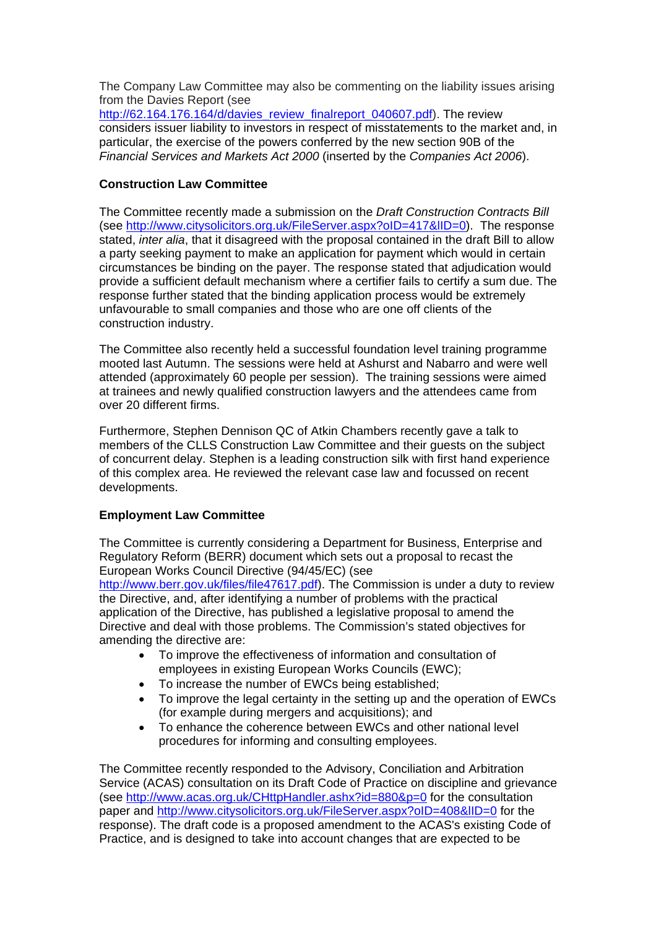The Company Law Committee may also be commenting on the liability issues arising from the Davies Report (see http://62.164.176.164/d/davies\_review\_finalreport\_040607.pdf). The review

considers issuer liability to investors in respect of misstatements to the market and, in particular, the exercise of the powers conferred by the new section 90B of the *Financial Services and Markets Act 2000* (inserted by the *Companies Act 2006*).

# **Construction Law Committee**

The Committee recently made a submission on the *Draft Construction Contracts Bill* (see http://www.citysolicitors.org.uk/FileServer.aspx?oID=417&lID=0). The response stated, *inter alia*, that it disagreed with the proposal contained in the draft Bill to allow a party seeking payment to make an application for payment which would in certain circumstances be binding on the payer. The response stated that adjudication would provide a sufficient default mechanism where a certifier fails to certify a sum due. The response further stated that the binding application process would be extremely unfavourable to small companies and those who are one off clients of the construction industry.

The Committee also recently held a successful foundation level training programme mooted last Autumn. The sessions were held at Ashurst and Nabarro and were well attended (approximately 60 people per session). The training sessions were aimed at trainees and newly qualified construction lawyers and the attendees came from over 20 different firms.

Furthermore, Stephen Dennison QC of Atkin Chambers recently gave a talk to members of the CLLS Construction Law Committee and their guests on the subject of concurrent delay. Stephen is a leading construction silk with first hand experience of this complex area. He reviewed the relevant case law and focussed on recent developments.

# **Employment Law Committee**

The Committee is currently considering a Department for Business, Enterprise and Regulatory Reform (BERR) document which sets out a proposal to recast the European Works Council Directive (94/45/EC) (see <http://www.berr.gov.uk/files/file47617.pdf>). The Commission is under a duty to review the Directive, and, after identifying a number of problems with the practical application of the Directive, has published a legislative proposal to amend the Directive and deal with those problems. The Commission's stated objectives for amending the directive are:

- To improve the effectiveness of information and consultation of employees in existing European Works Councils (EWC);
- To increase the number of EWCs being established;
- To improve the legal certainty in the setting up and the operation of EWCs (for example during mergers and acquisitions); and
- To enhance the coherence between EWCs and other national level procedures for informing and consulting employees.

The Committee recently responded to the Advisory, Conciliation and Arbitration Service (ACAS) consultation on its Draft Code of Practice on discipline and grievance (see http://www.acas.org.uk/CHttpHandler.ashx?id=880&p=0 for the consultation paper and http://www.citysolicitors.org.uk/FileServer.aspx?oID=408&IID=0 for the response). The draft code is a proposed amendment to the ACAS's existing Code of Practice, and is designed to take into account changes that are expected to be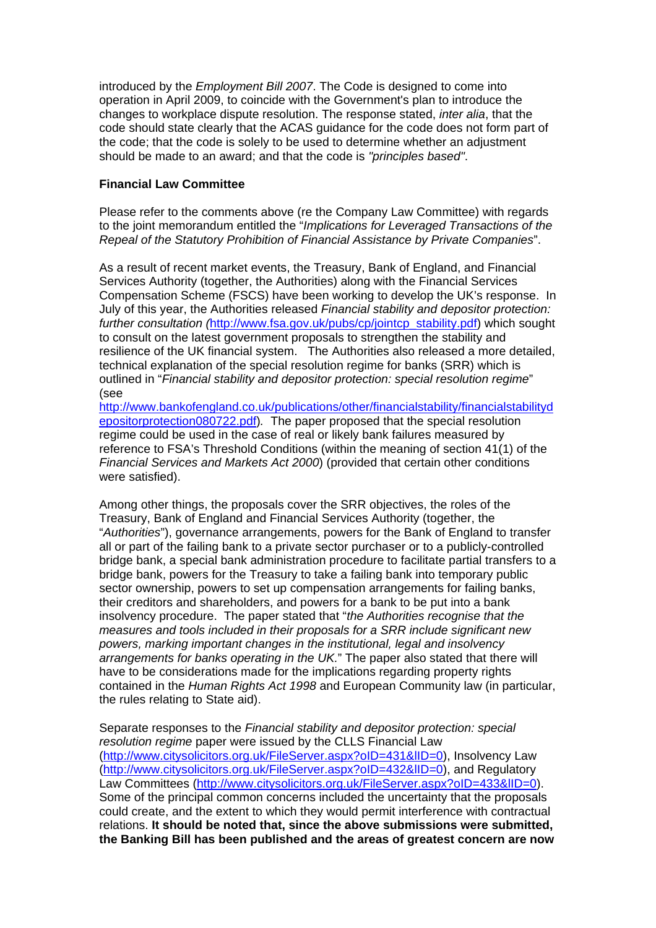introduced by the *Employment Bill 2007*. The Code is designed to come into operation in April 2009, to coincide with the Government's plan to introduce the changes to workplace dispute resolution. The response stated, *inter alia*, that the code should state clearly that the ACAS guidance for the code does not form part of the code; that the code is solely to be used to determine whether an adjustment should be made to an award; and that the code is *"principles based"*.

#### **Financial Law Committee**

Please refer to the comments above (re the Company Law Committee) with regards to the joint memorandum entitled the "*Implications for Leveraged Transactions of the Repeal of the Statutory Prohibition of Financial Assistance by Private Companies*".

As a result of recent market events, the Treasury, Bank of England, and Financial Services Authority (together, the Authorities) along with the Financial Services Compensation Scheme (FSCS) have been working to develop the UK's response. In July of this year, the Authorities released *Financial stability and depositor protection: further consultation (*[http://www.fsa.gov.uk/pubs/cp/jointcp\\_stability.pdf\)](http://www.fsa.gov.uk/pubs/cp/jointcp_stability.pdf) which sought to consult on the latest government proposals to strengthen the stability and resilience of the UK financial system. The Authorities also released a more detailed, technical explanation of the special resolution regime for banks (SRR) which is outlined in "*Financial stability and depositor protection: special resolution regime*" (see

http://www.bankofengland.co.uk/publications/other/financialstability/financialstabilityd epositorprotection080722.pdf)*.* The paper proposed that the special resolution regime could be used in the case of real or likely bank failures measured by reference to FSA's Threshold Conditions (within the meaning of section 41(1) of the *Financial Services and Markets Act 2000*) (provided that certain other conditions were satisfied).

Among other things, the proposals cover the SRR objectives, the roles of the Treasury, Bank of England and Financial Services Authority (together, the "*Authorities*"), governance arrangements, powers for the Bank of England to transfer all or part of the failing bank to a private sector purchaser or to a publicly-controlled bridge bank, a special bank administration procedure to facilitate partial transfers to a bridge bank, powers for the Treasury to take a failing bank into temporary public sector ownership, powers to set up compensation arrangements for failing banks, their creditors and shareholders, and powers for a bank to be put into a bank insolvency procedure. The paper stated that "*the Authorities recognise that the measures and tools included in their proposals for a SRR include significant new powers, marking important changes in the institutional, legal and insolvency arrangements for banks operating in the UK.*" The paper also stated that there will have to be considerations made for the implications regarding property rights contained in the *Human Rights Act 1998* and European Community law (in particular, the rules relating to State aid).

Separate responses to the *Financial stability and depositor protection: special resolution regime* paper were issued by the CLLS Financial Law (http://www.citysolicitors.org.uk/FileServer.aspx?oID=431&lID=0), Insolvency Law (http://www.citysolicitors.org.uk/FileServer.aspx?oID=432&lID=0), and Regulatory Law Committees (http://www.citysolicitors.org.uk/FileServer.aspx?oID=433&lID=0). Some of the principal common concerns included the uncertainty that the proposals could create, and the extent to which they would permit interference with contractual relations. **It should be noted that, since the above submissions were submitted, the Banking Bill has been published and the areas of greatest concern are now**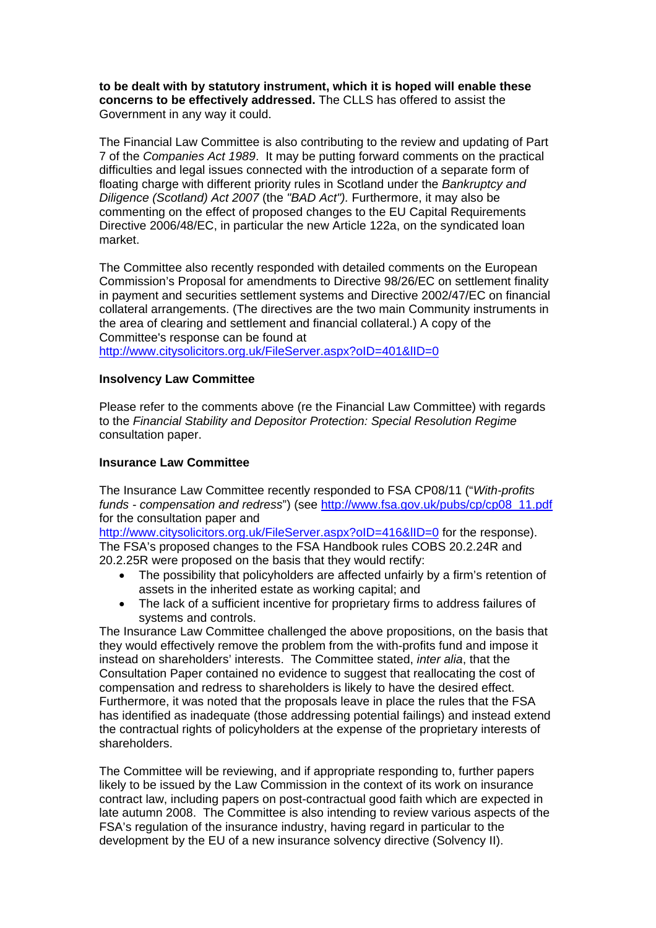**to be dealt with by statutory instrument, which it is hoped will enable these concerns to be effectively addressed.** The CLLS has offered to assist the Government in any way it could.

The Financial Law Committee is also contributing to the review and updating of Part 7 of the *Companies Act 1989*. It may be putting forward comments on the practical difficulties and legal issues connected with the introduction of a separate form of floating charge with different priority rules in Scotland under the *Bankruptcy and Diligence (Scotland) Act 2007* (the *"BAD Act").* Furthermore, it may also be commenting on the effect of proposed changes to the EU Capital Requirements Directive 2006/48/EC, in particular the new Article 122a, on the syndicated loan market.

The Committee also recently responded with detailed comments on the European Commission's Proposal for amendments to Directive 98/26/EC on settlement finality in payment and securities settlement systems and Directive 2002/47/EC on financial collateral arrangements. (The directives are the two main Community instruments in the area of clearing and settlement and financial collateral.) A copy of the Committee's response can be found at <http://www.citysolicitors.org.uk/FileServer.aspx?oID=401&lID=0>

#### **Insolvency Law Committee**

Please refer to the comments above (re the Financial Law Committee) with regards to the *Financial Stability and Depositor Protection: Special Resolution Regime*  consultation paper.

#### **Insurance Law Committee**

The Insurance Law Committee recently responded to FSA CP08/11 ("*With-profits funds - compensation and redress*") (see [http://www.fsa.gov.uk/pubs/cp/cp08\\_11.pdf](http://www.fsa.gov.uk/pubs/cp/cp08_11.pdf) for the consultation paper and

http://www.citysolicitors.org.uk/FileServer.aspx?oID=416&IID=0 for the response). The FSA's proposed changes to the FSA Handbook rules COBS 20.2.24R and 20.2.25R were proposed on the basis that they would rectify:

- The possibility that policyholders are affected unfairly by a firm's retention of assets in the inherited estate as working capital; and
- The lack of a sufficient incentive for proprietary firms to address failures of systems and controls.

The Insurance Law Committee challenged the above propositions, on the basis that they would effectively remove the problem from the with-profits fund and impose it instead on shareholders' interests. The Committee stated, *inter alia*, that the Consultation Paper contained no evidence to suggest that reallocating the cost of compensation and redress to shareholders is likely to have the desired effect. Furthermore, it was noted that the proposals leave in place the rules that the FSA has identified as inadequate (those addressing potential failings) and instead extend the contractual rights of policyholders at the expense of the proprietary interests of shareholders.

The Committee will be reviewing, and if appropriate responding to, further papers likely to be issued by the Law Commission in the context of its work on insurance contract law, including papers on post-contractual good faith which are expected in late autumn 2008. The Committee is also intending to review various aspects of the FSA's regulation of the insurance industry, having regard in particular to the development by the EU of a new insurance solvency directive (Solvency II).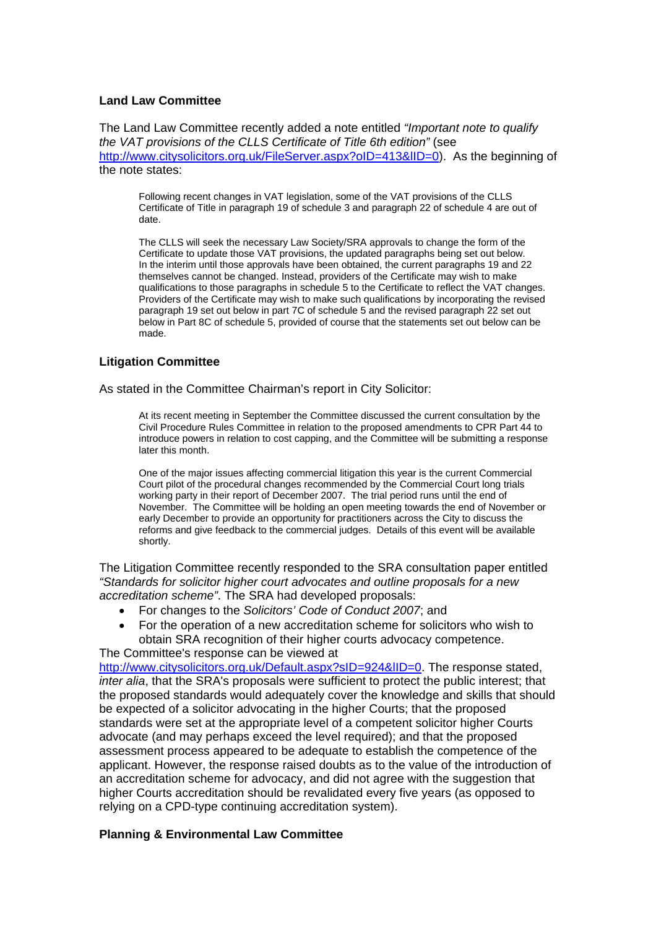#### **Land Law Committee**

The Land Law Committee recently added a note entitled *"Important note to qualify the VAT provisions of the CLLS Certificate of Title 6th edition"* (see http://www.citysolicitors.org.uk/FileServer.aspx?oID=413&IID=0). As the beginning of the note states:

Following recent changes in VAT legislation, some of the VAT provisions of the CLLS Certificate of Title in paragraph 19 of schedule 3 and paragraph 22 of schedule 4 are out of date.

The CLLS will seek the necessary Law Society/SRA approvals to change the form of the Certificate to update those VAT provisions, the updated paragraphs being set out below. In the interim until those approvals have been obtained, the current paragraphs 19 and 22 themselves cannot be changed. Instead, providers of the Certificate may wish to make qualifications to those paragraphs in schedule 5 to the Certificate to reflect the VAT changes. Providers of the Certificate may wish to make such qualifications by incorporating the revised paragraph 19 set out below in part 7C of schedule 5 and the revised paragraph 22 set out below in Part 8C of schedule 5, provided of course that the statements set out below can be made.

# **Litigation Committee**

As stated in the Committee Chairman's report in City Solicitor:

At its recent meeting in September the Committee discussed the current consultation by the Civil Procedure Rules Committee in relation to the proposed amendments to CPR Part 44 to introduce powers in relation to cost capping, and the Committee will be submitting a response later this month.

One of the major issues affecting commercial litigation this year is the current Commercial Court pilot of the procedural changes recommended by the Commercial Court long trials working party in their report of December 2007. The trial period runs until the end of November. The Committee will be holding an open meeting towards the end of November or early December to provide an opportunity for practitioners across the City to discuss the reforms and give feedback to the commercial judges. Details of this event will be available shortly.

The Litigation Committee recently responded to the SRA consultation paper entitled *"Standards for solicitor higher court advocates and outline proposals for a new accreditation scheme"*. The SRA had developed proposals:

- For changes to the *Solicitors' Code of Conduct 2007*; and
- For the operation of a new accreditation scheme for solicitors who wish to obtain SRA recognition of their higher courts advocacy competence.

The Committee's response can be viewed at http://www.citysolicitors.org.uk/Default.aspx?sID=924&IID=0. The response stated, *inter alia*, that the SRA's proposals were sufficient to protect the public interest; that the proposed standards would adequately cover the knowledge and skills that should be expected of a solicitor advocating in the higher Courts; that the proposed standards were set at the appropriate level of a competent solicitor higher Courts advocate (and may perhaps exceed the level required); and that the proposed assessment process appeared to be adequate to establish the competence of the applicant. However, the response raised doubts as to the value of the introduction of an accreditation scheme for advocacy, and did not agree with the suggestion that higher Courts accreditation should be revalidated every five years (as opposed to relying on a CPD-type continuing accreditation system).

# **Planning & Environmental Law Committee**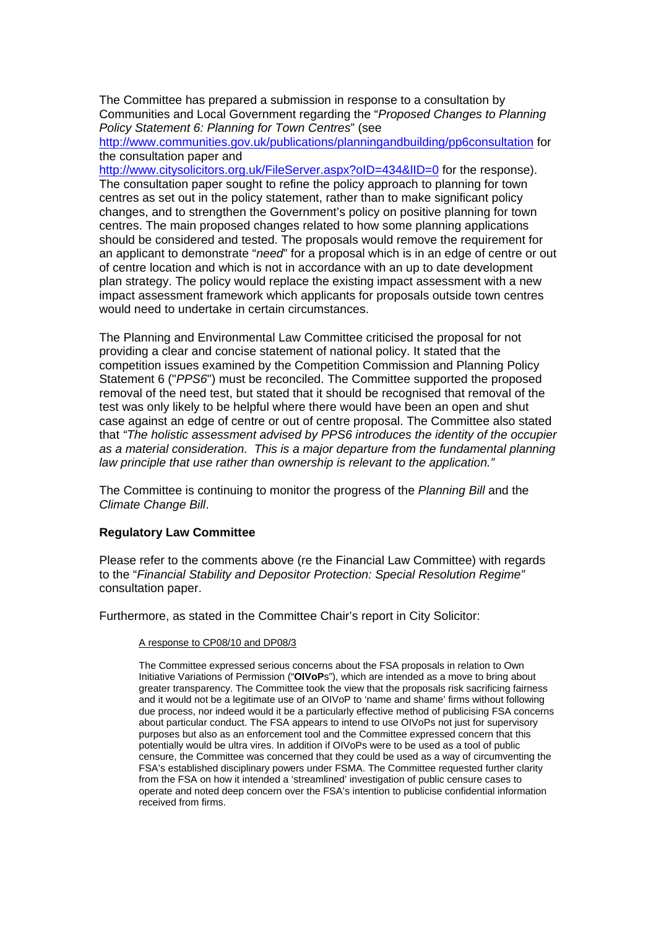The Committee has prepared a submission in response to a consultation by Communities and Local Government regarding the "*Proposed Changes to Planning Policy Statement 6: Planning for Town Centres*" (see

<http://www.communities.gov.uk/publications/planningandbuilding/pp6consultation> for the consultation paper and

http://www.citysolicitors.org.uk/FileServer.aspx?oID=434&IID=0 for the response). The consultation paper sought to refine the policy approach to planning for town centres as set out in the policy statement, rather than to make significant policy changes, and to strengthen the Government's policy on positive planning for town centres. The main proposed changes related to how some planning applications should be considered and tested. The proposals would remove the requirement for an applicant to demonstrate "*need*" for a proposal which is in an edge of centre or out of centre location and which is not in accordance with an up to date development plan strategy. The policy would replace the existing impact assessment with a new impact assessment framework which applicants for proposals outside town centres would need to undertake in certain circumstances.

The Planning and Environmental Law Committee criticised the proposal for not providing a clear and concise statement of national policy. It stated that the competition issues examined by the Competition Commission and Planning Policy Statement 6 ("*PPS6*") must be reconciled. The Committee supported the proposed removal of the need test, but stated that it should be recognised that removal of the test was only likely to be helpful where there would have been an open and shut case against an edge of centre or out of centre proposal. The Committee also stated that *"The holistic assessment advised by PPS6 introduces the identity of the occupier as a material consideration. This is a major departure from the fundamental planning law principle that use rather than ownership is relevant to the application."*

The Committee is continuing to monitor the progress of the *Planning Bill* and the *Climate Change Bill*.

#### **Regulatory Law Committee**

Please refer to the comments above (re the Financial Law Committee) with regards to the "*Financial Stability and Depositor Protection: Special Resolution Regime"*  consultation paper.

Furthermore, as stated in the Committee Chair's report in City Solicitor:

#### A response to CP08/10 and DP08/3

The Committee expressed serious concerns about the FSA proposals in relation to Own Initiative Variations of Permission ("**OIVoP**s"), which are intended as a move to bring about greater transparency. The Committee took the view that the proposals risk sacrificing fairness and it would not be a legitimate use of an OIVoP to 'name and shame' firms without following due process, nor indeed would it be a particularly effective method of publicising FSA concerns about particular conduct. The FSA appears to intend to use OIVoPs not just for supervisory purposes but also as an enforcement tool and the Committee expressed concern that this potentially would be ultra vires. In addition if OIVoPs were to be used as a tool of public censure, the Committee was concerned that they could be used as a way of circumventing the FSA's established disciplinary powers under FSMA. The Committee requested further clarity from the FSA on how it intended a 'streamlined' investigation of public censure cases to operate and noted deep concern over the FSA's intention to publicise confidential information received from firms.